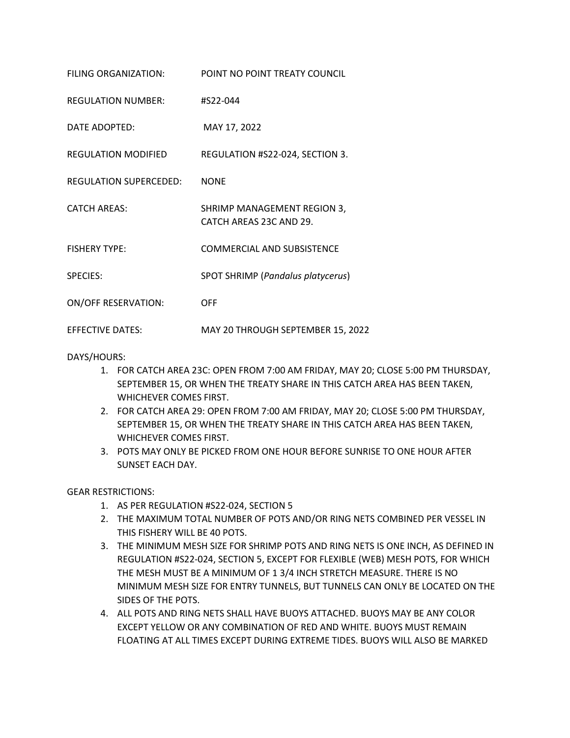| FILING ORGANIZATION:          | POINT NO POINT TREATY COUNCIL                          |
|-------------------------------|--------------------------------------------------------|
| <b>REGULATION NUMBER:</b>     | #S22-044                                               |
| DATE ADOPTED:                 | MAY 17, 2022                                           |
| REGULATION MODIFIED           | REGULATION #S22-024, SECTION 3.                        |
| <b>REGULATION SUPERCEDED:</b> | <b>NONE</b>                                            |
| <b>CATCH AREAS:</b>           | SHRIMP MANAGEMENT REGION 3,<br>CATCH AREAS 23C AND 29. |
| <b>FISHERY TYPE:</b>          | COMMERCIAL AND SUBSISTENCE                             |
| <b>SPECIES:</b>               | SPOT SHRIMP (Pandalus platycerus)                      |
| <b>ON/OFF RESERVATION:</b>    | <b>OFF</b>                                             |
| <b>EFFECTIVE DATES:</b>       | MAY 20 THROUGH SEPTEMBER 15, 2022                      |

DAYS/HOURS:

- 1. FOR CATCH AREA 23C: OPEN FROM 7:00 AM FRIDAY, MAY 20; CLOSE 5:00 PM THURSDAY, SEPTEMBER 15, OR WHEN THE TREATY SHARE IN THIS CATCH AREA HAS BEEN TAKEN, WHICHEVER COMES FIRST.
- 2. FOR CATCH AREA 29: OPEN FROM 7:00 AM FRIDAY, MAY 20; CLOSE 5:00 PM THURSDAY, SEPTEMBER 15, OR WHEN THE TREATY SHARE IN THIS CATCH AREA HAS BEEN TAKEN, WHICHEVER COMES FIRST.
- 3. POTS MAY ONLY BE PICKED FROM ONE HOUR BEFORE SUNRISE TO ONE HOUR AFTER SUNSET EACH DAY.

GEAR RESTRICTIONS:

- 1. AS PER REGULATION #S22-024, SECTION 5
- 2. THE MAXIMUM TOTAL NUMBER OF POTS AND/OR RING NETS COMBINED PER VESSEL IN THIS FISHERY WILL BE 40 POTS.
- 3. THE MINIMUM MESH SIZE FOR SHRIMP POTS AND RING NETS IS ONE INCH, AS DEFINED IN REGULATION #S22-024, SECTION 5, EXCEPT FOR FLEXIBLE (WEB) MESH POTS, FOR WHICH THE MESH MUST BE A MINIMUM OF 1 3/4 INCH STRETCH MEASURE. THERE IS NO MINIMUM MESH SIZE FOR ENTRY TUNNELS, BUT TUNNELS CAN ONLY BE LOCATED ON THE SIDES OF THE POTS.
- 4. ALL POTS AND RING NETS SHALL HAVE BUOYS ATTACHED. BUOYS MAY BE ANY COLOR EXCEPT YELLOW OR ANY COMBINATION OF RED AND WHITE. BUOYS MUST REMAIN FLOATING AT ALL TIMES EXCEPT DURING EXTREME TIDES. BUOYS WILL ALSO BE MARKED